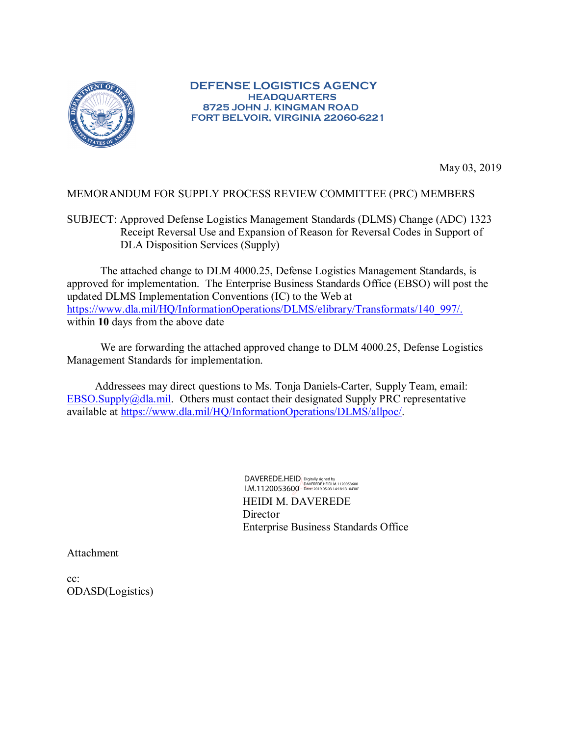

## **DEFENSE LOGISTICS AGENCY HEADQUARTERS 8725 JOHN J. KINGMAN ROAD FORT BELVOIR, VIRGINIA 22060-6221**

May 03, 2019

#### MEMORANDUM FOR SUPPLY PROCESS REVIEW COMMITTEE (PRC) MEMBERS

SUBJECT: Approved Defense Logistics Management Standards (DLMS) Change (ADC) 1323 Receipt Reversal Use and Expansion of Reason for Reversal Codes in Support of DLA Disposition Services (Supply)

The attached change to DLM 4000.25, Defense Logistics Management Standards, is approved for implementation. The Enterprise Business Standards Office (EBSO) will post the updated DLMS Implementation Conventions (IC) to the Web at [https://www.dla.mil/HQ/InformationOperations/DLMS/elibrary/Transformats/140\\_997/.](https://www.dla.mil/HQ/InformationOperations/DLMS/elibrary/Transformats/140_997/) within **10** days from the above date

We are forwarding the attached approved change to DLM 4000.25, Defense Logistics Management Standards for implementation.

Addressees may direct questions to Ms. Tonja Daniels-Carter, Supply Team, email: EBSO.Supply $@d$ la.mil. Others must contact their designated Supply PRC representative available at [https://www.dla.mil/HQ/InformationOperations/DLMS/allpoc/.](https://www.dla.mil/HQ/InformationOperations/DLMS/allpoc/)

> HEIDI M. DAVEREDE **Director** Enterprise Business Standards Office DAVEREDE.HEID I.M.1120053600 Digitally signed by DAVEREDE.HEIDI.M.1120053600 Date: 2019.05.03 14:18:13 -04'00'

Attachment

cc: ODASD(Logistics)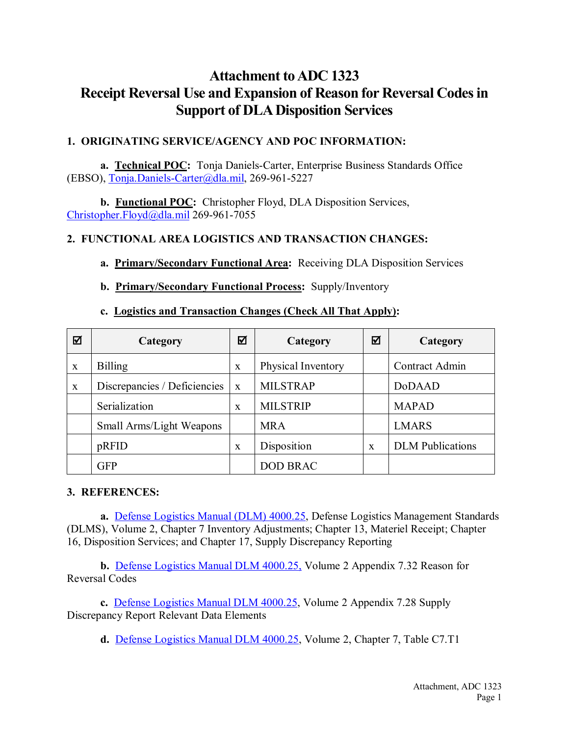# **Attachment to ADC 1323 Receipt Reversal Use and Expansion of Reason for Reversal Codes in Support of DLA Disposition Services**

### **1. ORIGINATING SERVICE/AGENCY AND POC INFORMATION:**

**a. Technical POC:** Tonja Daniels-Carter, Enterprise Business Standards Office (EBSO), [Tonja.Daniels-Carter@dla.mil,](mailto:Tonja.Daniels-Carter@dla.mil) 269-961-5227

**b. Functional POC:** Christopher Floyd, DLA Disposition Services, [Christopher.Floyd@dla.mil](mailto:Christopher.Floyd@dla.mil) 269-961-7055

### **2. FUNCTIONAL AREA LOGISTICS AND TRANSACTION CHANGES:**

### **a. Primary/Secondary Functional Area:** Receiving DLA Disposition Services

**b. Primary/Secondary Functional Process:** Supply/Inventory

### **c. Logistics and Transaction Changes (Check All That Apply):**

| ☑            | Category                     | ☑            | Category           | ☑            | Category                |
|--------------|------------------------------|--------------|--------------------|--------------|-------------------------|
| $\mathbf{x}$ | <b>Billing</b>               | $\mathbf{x}$ | Physical Inventory |              | Contract Admin          |
| $\mathbf X$  | Discrepancies / Deficiencies | $\mathbf{X}$ | <b>MILSTRAP</b>    |              | DoDAAD                  |
|              | Serialization                | $\mathbf x$  | <b>MILSTRIP</b>    |              | <b>MAPAD</b>            |
|              | Small Arms/Light Weapons     |              | <b>MRA</b>         |              | <b>LMARS</b>            |
|              | pRFID                        | $\mathbf{x}$ | Disposition        | $\mathbf{x}$ | <b>DLM</b> Publications |
|              | <b>GFP</b>                   |              | <b>DOD BRAC</b>    |              |                         |

#### **3. REFERENCES:**

**a.** [Defense Logistics Manual \(DLM\) 4000.25,](https://www.dla.mil/HQ/InformationOperations/DLMS/eLibrary/Manuals/publications/dlm/dlm_pubs/) Defense Logistics Management Standards (DLMS), Volume 2, Chapter 7 Inventory Adjustments; Chapter 13, Materiel Receipt; Chapter 16, Disposition Services; and Chapter 17, Supply Discrepancy Reporting

**b.** [Defense Logistics Manual DLM](https://www.dla.mil/HQ/InformationOperations/DLMS/eLibrary/Manuals/publications/dlm/dlm_pubs/) 4000.25, Volume 2 Appendix 7.32 Reason for Reversal Codes

**c.** [Defense Logistics Manual DLM 4000.25,](https://www.dla.mil/HQ/InformationOperations/DLMS/eLibrary/Manuals/publications/dlm/dlm_pubs/) Volume 2 Appendix 7.28 Supply Discrepancy Report Relevant Data Elements

**d.** [Defense Logistics Manual DLM 4000.25,](https://www.dla.mil/HQ/InformationOperations/DLMS/eLibrary/Manuals/publications/dlm/dlm_pubs/) Volume 2, Chapter 7, Table C7.T1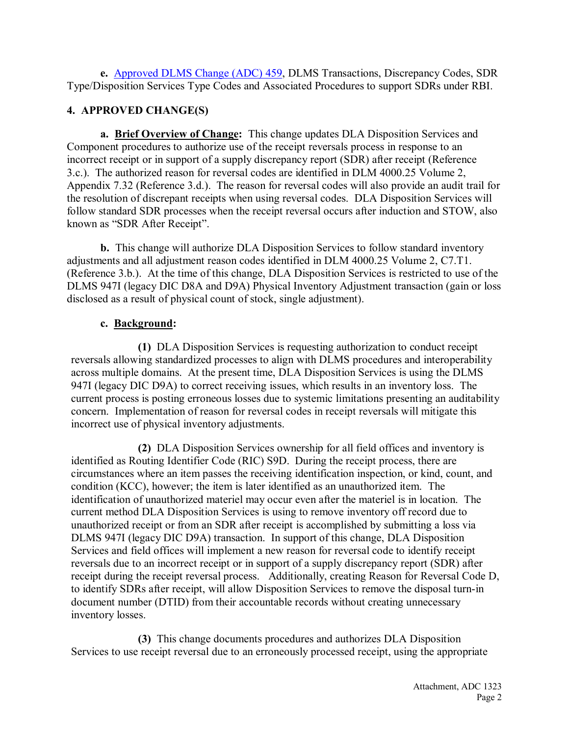**e.** [Approved DLMS Change \(ADC\) 459,](https://www.dla.mil/HQ/InformationOperations/DLMS/eLibrary/Changes/approved4/) DLMS Transactions, Discrepancy Codes, SDR Type/Disposition Services Type Codes and Associated Procedures to support SDRs under RBI.

### **4. APPROVED CHANGE(S)**

**a. Brief Overview of Change:** This change updates DLA Disposition Services and Component procedures to authorize use of the receipt reversals process in response to an incorrect receipt or in support of a supply discrepancy report (SDR) after receipt (Reference 3.c.). The authorized reason for reversal codes are identified in DLM 4000.25 Volume 2, Appendix 7.32 (Reference 3.d.). The reason for reversal codes will also provide an audit trail for the resolution of discrepant receipts when using reversal codes. DLA Disposition Services will follow standard SDR processes when the receipt reversal occurs after induction and STOW, also known as "SDR After Receipt".

**b.** This change will authorize DLA Disposition Services to follow standard inventory adjustments and all adjustment reason codes identified in DLM 4000.25 Volume 2, C7.T1. (Reference 3.b.). At the time of this change, DLA Disposition Services is restricted to use of the DLMS 947I (legacy DIC D8A and D9A) Physical Inventory Adjustment transaction (gain or loss disclosed as a result of physical count of stock, single adjustment).

### **c. Background:**

**(1)** DLA Disposition Services is requesting authorization to conduct receipt reversals allowing standardized processes to align with DLMS procedures and interoperability across multiple domains. At the present time, DLA Disposition Services is using the DLMS 947I (legacy DIC D9A) to correct receiving issues, which results in an inventory loss. The current process is posting erroneous losses due to systemic limitations presenting an auditability concern. Implementation of reason for reversal codes in receipt reversals will mitigate this incorrect use of physical inventory adjustments.

**(2)** DLA Disposition Services ownership for all field offices and inventory is identified as Routing Identifier Code (RIC) S9D. During the receipt process, there are circumstances where an item passes the receiving identification inspection, or kind, count, and condition (KCC), however; the item is later identified as an unauthorized item. The identification of unauthorized materiel may occur even after the materiel is in location. The current method DLA Disposition Services is using to remove inventory off record due to unauthorized receipt or from an SDR after receipt is accomplished by submitting a loss via DLMS 947I (legacy DIC D9A) transaction. In support of this change, DLA Disposition Services and field offices will implement a new reason for reversal code to identify receipt reversals due to an incorrect receipt or in support of a supply discrepancy report (SDR) after receipt during the receipt reversal process. Additionally, creating Reason for Reversal Code D, to identify SDRs after receipt, will allow Disposition Services to remove the disposal turn-in document number (DTID) from their accountable records without creating unnecessary inventory losses.

**(3)** This change documents procedures and authorizes DLA Disposition Services to use receipt reversal due to an erroneously processed receipt, using the appropriate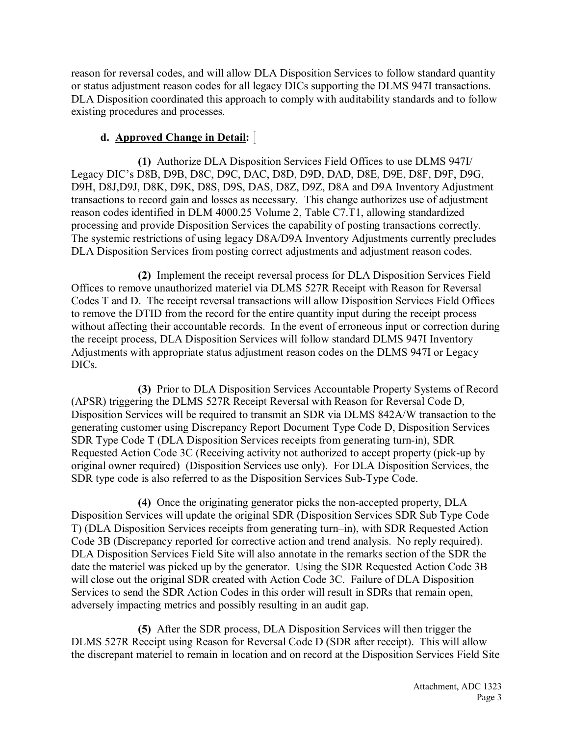reason for reversal codes, and will allow DLA Disposition Services to follow standard quantity or status adjustment reason codes for all legacy DICs supporting the DLMS 947I transactions. DLA Disposition coordinated this approach to comply with auditability standards and to follow existing procedures and processes.

### **d. Approved Change in Detail:**

**(1)** Authorize DLA Disposition Services Field Offices to use DLMS 947I/ Legacy DIC's D8B, D9B, D8C, D9C, DAC, D8D, D9D, DAD, D8E, D9E, D8F, D9F, D9G, D9H, D8J,D9J, D8K, D9K, D8S, D9S, DAS, D8Z, D9Z, D8A and D9A Inventory Adjustment transactions to record gain and losses as necessary. This change authorizes use of adjustment reason codes identified in DLM 4000.25 Volume 2, Table C7.T1, allowing standardized processing and provide Disposition Services the capability of posting transactions correctly. The systemic restrictions of using legacy D8A/D9A Inventory Adjustments currently precludes DLA Disposition Services from posting correct adjustments and adjustment reason codes.

**(2)** Implement the receipt reversal process for DLA Disposition Services Field Offices to remove unauthorized materiel via DLMS 527R Receipt with Reason for Reversal Codes T and D. The receipt reversal transactions will allow Disposition Services Field Offices to remove the DTID from the record for the entire quantity input during the receipt process without affecting their accountable records. In the event of erroneous input or correction during the receipt process, DLA Disposition Services will follow standard DLMS 947I Inventory Adjustments with appropriate status adjustment reason codes on the DLMS 947I or Legacy DICs.

**(3)** Prior to DLA Disposition Services Accountable Property Systems of Record (APSR) triggering the DLMS 527R Receipt Reversal with Reason for Reversal Code D, Disposition Services will be required to transmit an SDR via DLMS 842A/W transaction to the generating customer using Discrepancy Report Document Type Code D, Disposition Services SDR Type Code T (DLA Disposition Services receipts from generating turn-in), SDR Requested Action Code 3C (Receiving activity not authorized to accept property (pick-up by original owner required) (Disposition Services use only). For DLA Disposition Services, the SDR type code is also referred to as the Disposition Services Sub-Type Code.

**(4)** Once the originating generator picks the non-accepted property, DLA Disposition Services will update the original SDR (Disposition Services SDR Sub Type Code T) (DLA Disposition Services receipts from generating turn–in), with SDR Requested Action Code 3B (Discrepancy reported for corrective action and trend analysis. No reply required). DLA Disposition Services Field Site will also annotate in the remarks section of the SDR the date the materiel was picked up by the generator. Using the SDR Requested Action Code 3B will close out the original SDR created with Action Code 3C. Failure of DLA Disposition Services to send the SDR Action Codes in this order will result in SDRs that remain open, adversely impacting metrics and possibly resulting in an audit gap.

**(5)** After the SDR process, DLA Disposition Services will then trigger the DLMS 527R Receipt using Reason for Reversal Code D (SDR after receipt). This will allow the discrepant materiel to remain in location and on record at the Disposition Services Field Site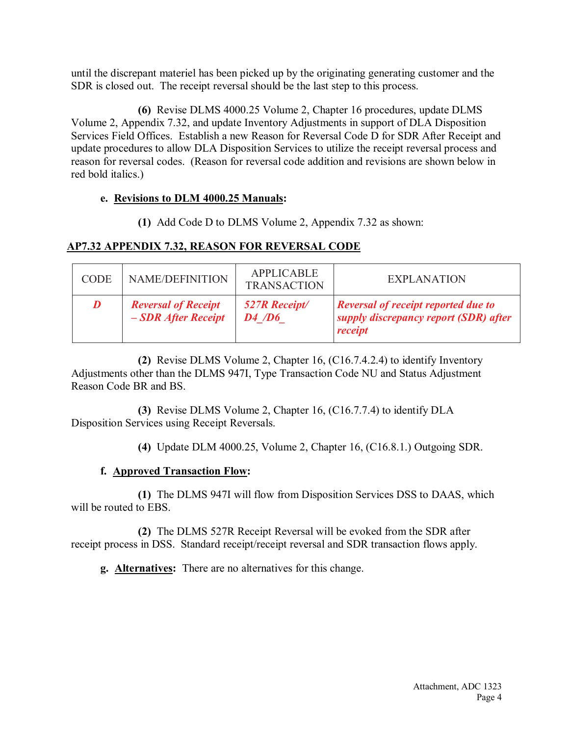until the discrepant materiel has been picked up by the originating generating customer and the SDR is closed out. The receipt reversal should be the last step to this process.

**(6)** Revise DLMS 4000.25 Volume 2, Chapter 16 procedures, update DLMS Volume 2, Appendix 7.32, and update Inventory Adjustments in support of DLA Disposition Services Field Offices. Establish a new Reason for Reversal Code D for SDR After Receipt and update procedures to allow DLA Disposition Services to utilize the receipt reversal process and reason for reversal codes. (Reason for reversal code addition and revisions are shown below in red bold italics.)

### **e. Revisions to DLM 4000.25 Manuals:**

**(1)** Add Code D to DLMS Volume 2, Appendix 7.32 as shown:

## **AP7.32 APPENDIX 7.32, REASON FOR REVERSAL CODE**

| <b>CODE</b> | <b>NAME/DEFINITION</b>                            | <b>APPLICABLE</b><br><b>TRANSACTION</b> | <b>EXPLANATION</b>                                                                             |
|-------------|---------------------------------------------------|-----------------------------------------|------------------------------------------------------------------------------------------------|
| D           | <b>Reversal of Receipt</b><br>- SDR After Receipt | <b>527R</b> Receipt/<br>$\bm{D4}$ /D6   | <b>Reversal of receipt reported due to</b><br>supply discrepancy report (SDR) after<br>receipt |

**(2)** Revise DLMS Volume 2, Chapter 16, (C16.7.4.2.4) to identify Inventory Adjustments other than the DLMS 947I, Type Transaction Code NU and Status Adjustment Reason Code BR and BS.

**(3)** Revise DLMS Volume 2, Chapter 16, (C16.7.7.4) to identify DLA Disposition Services using Receipt Reversals.

**(4)** Update DLM 4000.25, Volume 2, Chapter 16, (C16.8.1.) Outgoing SDR.

## **f. Approved Transaction Flow:**

**(1)** The DLMS 947I will flow from Disposition Services DSS to DAAS, which will be routed to EBS.

**(2)** The DLMS 527R Receipt Reversal will be evoked from the SDR after receipt process in DSS. Standard receipt/receipt reversal and SDR transaction flows apply.

**g. Alternatives:** There are no alternatives for this change.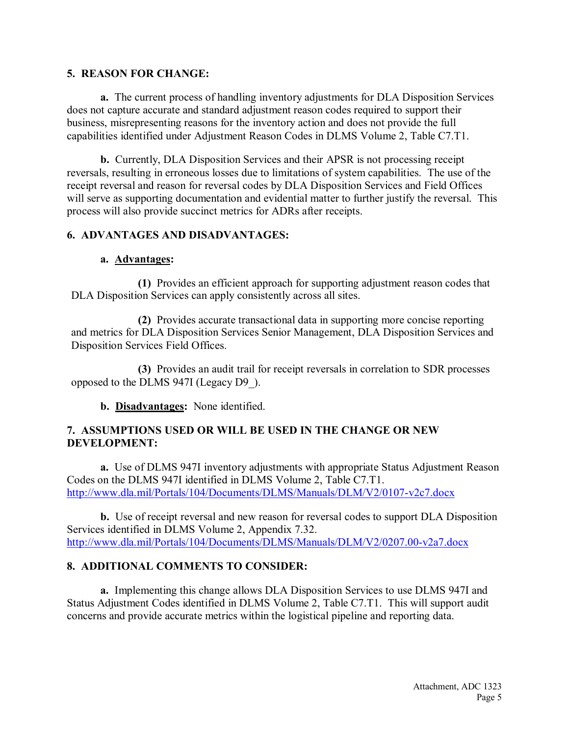#### **5. REASON FOR CHANGE:**

**a.** The current process of handling inventory adjustments for DLA Disposition Services does not capture accurate and standard adjustment reason codes required to support their business, misrepresenting reasons for the inventory action and does not provide the full capabilities identified under Adjustment Reason Codes in DLMS Volume 2, Table C7.T1.

**b.** Currently, DLA Disposition Services and their APSR is not processing receipt reversals, resulting in erroneous losses due to limitations of system capabilities. The use of the receipt reversal and reason for reversal codes by DLA Disposition Services and Field Offices will serve as supporting documentation and evidential matter to further justify the reversal. This process will also provide succinct metrics for ADRs after receipts.

#### **6. ADVANTAGES AND DISADVANTAGES:**

#### **a. Advantages:**

**(1)** Provides an efficient approach for supporting adjustment reason codes that DLA Disposition Services can apply consistently across all sites.

**(2)** Provides accurate transactional data in supporting more concise reporting and metrics for DLA Disposition Services Senior Management, DLA Disposition Services and Disposition Services Field Offices.

**(3)** Provides an audit trail for receipt reversals in correlation to SDR processes opposed to the DLMS 947I (Legacy D9\_).

**b. Disadvantages:** None identified.

#### **7. ASSUMPTIONS USED OR WILL BE USED IN THE CHANGE OR NEW DEVELOPMENT:**

**a.** Use of DLMS 947I inventory adjustments with appropriate Status Adjustment Reason Codes on the DLMS 947I identified in DLMS Volume 2, Table C7.T1. <http://www.dla.mil/Portals/104/Documents/DLMS/Manuals/DLM/V2/0107-v2c7.docx>

**b.** Use of receipt reversal and new reason for reversal codes to support DLA Disposition Services identified in DLMS Volume 2, Appendix 7.32. <http://www.dla.mil/Portals/104/Documents/DLMS/Manuals/DLM/V2/0207.00-v2a7.docx>

#### **8. ADDITIONAL COMMENTS TO CONSIDER:**

**a.** Implementing this change allows DLA Disposition Services to use DLMS 947I and Status Adjustment Codes identified in DLMS Volume 2, Table C7.T1. This will support audit concerns and provide accurate metrics within the logistical pipeline and reporting data.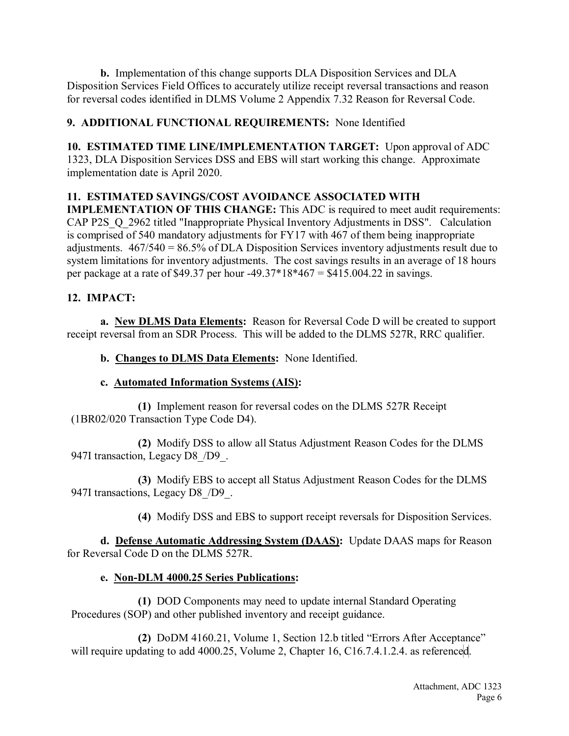**b.** Implementation of this change supports DLA Disposition Services and DLA Disposition Services Field Offices to accurately utilize receipt reversal transactions and reason for reversal codes identified in DLMS Volume 2 Appendix 7.32 Reason for Reversal Code.

## **9. ADDITIONAL FUNCTIONAL REQUIREMENTS:** None Identified

**10. ESTIMATED TIME LINE/IMPLEMENTATION TARGET:** Upon approval of ADC 1323, DLA Disposition Services DSS and EBS will start working this change. Approximate implementation date is April 2020.

## **11. ESTIMATED SAVINGS/COST AVOIDANCE ASSOCIATED WITH**

**IMPLEMENTATION OF THIS CHANGE:** This ADC is required to meet audit requirements: CAP P2S Q 2962 titled "Inappropriate Physical Inventory Adjustments in DSS". Calculation is comprised of 540 mandatory adjustments for FY17 with 467 of them being inappropriate adjustments. 467/540 = 86.5% of DLA Disposition Services inventory adjustments result due to system limitations for inventory adjustments. The cost savings results in an average of 18 hours per package at a rate of \$49.37 per hour -49.37\*18\*467 = \$415.004.22 in savings.

## **12. IMPACT:**

**a. New DLMS Data Elements:** Reason for Reversal Code D will be created to support receipt reversal from an SDR Process. This will be added to the DLMS 527R, RRC qualifier.

**b. Changes to DLMS Data Elements:** None Identified.

## **c. Automated Information Systems (AIS):**

**(1)** Implement reason for reversal codes on the DLMS 527R Receipt (1BR02/020 Transaction Type Code D4).

**(2)** Modify DSS to allow all Status Adjustment Reason Codes for the DLMS 947I transaction, Legacy D8\_/D9\_.

**(3)** Modify EBS to accept all Status Adjustment Reason Codes for the DLMS 947I transactions, Legacy D8\_/D9\_.

**(4)** Modify DSS and EBS to support receipt reversals for Disposition Services.

**d. Defense Automatic Addressing System (DAAS):** Update DAAS maps for Reason for Reversal Code D on the DLMS 527R.

## **e. Non-DLM 4000.25 Series Publications:**

**(1)** DOD Components may need to update internal Standard Operating Procedures (SOP) and other published inventory and receipt guidance.

**(2)** DoDM 4160.21, Volume 1, Section 12.b titled "Errors After Acceptance" will require updating to add 4000.25, Volume 2, Chapter 16, C16.7.4.1.2.4. as referenced.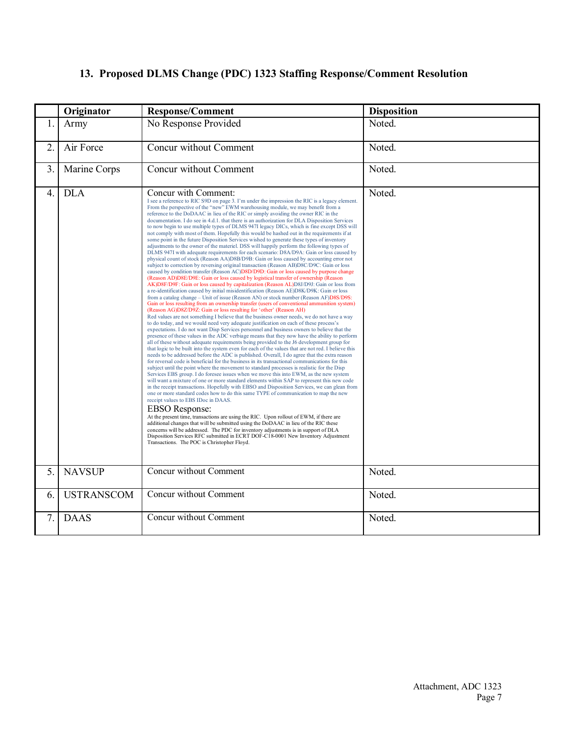## **13. Proposed DLMS Change (PDC) 1323 Staffing Response/Comment Resolution**

|                  | Originator        | <b>Response/Comment</b>                                                                                                                                                                                                                                                                                                                                                                                                                                                                                                                                                                                                                                                                                                                                                                                                                                                                                                                                                                                                                                                                                                                                                                                                                                                                                                                                                                                                                                                                                                                                                                                                                                                                                                                                                                                                                                                                                                                                                                                                                                                                                                                                                                                                                                                                                                                                                                                                                                                                                                                                                                                                                                                                                                                                                                                                                                                                                                                                                                                                                                                                                                                                                                                                                                                                                                                                                                                                                                         | <b>Disposition</b> |
|------------------|-------------------|-----------------------------------------------------------------------------------------------------------------------------------------------------------------------------------------------------------------------------------------------------------------------------------------------------------------------------------------------------------------------------------------------------------------------------------------------------------------------------------------------------------------------------------------------------------------------------------------------------------------------------------------------------------------------------------------------------------------------------------------------------------------------------------------------------------------------------------------------------------------------------------------------------------------------------------------------------------------------------------------------------------------------------------------------------------------------------------------------------------------------------------------------------------------------------------------------------------------------------------------------------------------------------------------------------------------------------------------------------------------------------------------------------------------------------------------------------------------------------------------------------------------------------------------------------------------------------------------------------------------------------------------------------------------------------------------------------------------------------------------------------------------------------------------------------------------------------------------------------------------------------------------------------------------------------------------------------------------------------------------------------------------------------------------------------------------------------------------------------------------------------------------------------------------------------------------------------------------------------------------------------------------------------------------------------------------------------------------------------------------------------------------------------------------------------------------------------------------------------------------------------------------------------------------------------------------------------------------------------------------------------------------------------------------------------------------------------------------------------------------------------------------------------------------------------------------------------------------------------------------------------------------------------------------------------------------------------------------------------------------------------------------------------------------------------------------------------------------------------------------------------------------------------------------------------------------------------------------------------------------------------------------------------------------------------------------------------------------------------------------------------------------------------------------------------------------------------------------|--------------------|
| 1.               | Army              | No Response Provided                                                                                                                                                                                                                                                                                                                                                                                                                                                                                                                                                                                                                                                                                                                                                                                                                                                                                                                                                                                                                                                                                                                                                                                                                                                                                                                                                                                                                                                                                                                                                                                                                                                                                                                                                                                                                                                                                                                                                                                                                                                                                                                                                                                                                                                                                                                                                                                                                                                                                                                                                                                                                                                                                                                                                                                                                                                                                                                                                                                                                                                                                                                                                                                                                                                                                                                                                                                                                                            | Noted.             |
| $\overline{2}$ . | Air Force         | Concur without Comment                                                                                                                                                                                                                                                                                                                                                                                                                                                                                                                                                                                                                                                                                                                                                                                                                                                                                                                                                                                                                                                                                                                                                                                                                                                                                                                                                                                                                                                                                                                                                                                                                                                                                                                                                                                                                                                                                                                                                                                                                                                                                                                                                                                                                                                                                                                                                                                                                                                                                                                                                                                                                                                                                                                                                                                                                                                                                                                                                                                                                                                                                                                                                                                                                                                                                                                                                                                                                                          | Noted.             |
| 3.               | Marine Corps      | Concur without Comment                                                                                                                                                                                                                                                                                                                                                                                                                                                                                                                                                                                                                                                                                                                                                                                                                                                                                                                                                                                                                                                                                                                                                                                                                                                                                                                                                                                                                                                                                                                                                                                                                                                                                                                                                                                                                                                                                                                                                                                                                                                                                                                                                                                                                                                                                                                                                                                                                                                                                                                                                                                                                                                                                                                                                                                                                                                                                                                                                                                                                                                                                                                                                                                                                                                                                                                                                                                                                                          | Noted.             |
| 4.               | <b>DLA</b>        | Concur with Comment:<br>I see a reference to RIC S9D on page 3. I'm under the impression the RIC is a legacy element.<br>From the perspective of the "new" EWM warehousing module, we may benefit from a<br>reference to the DoDAAC in lieu of the RIC or simply avoiding the owner RIC in the<br>documentation. I do see in 4.d.1. that there is an authorization for DLA Disposition Services<br>to now begin to use multiple types of DLMS 947I legacy DICs, which is fine except DSS will<br>not comply with most of them. Hopefully this would be hashed out in the requirements if at<br>some point in the future Disposition Services wished to generate these types of inventory<br>adjustments to the owner of the materiel. DSS will happily perform the following types of<br>DLMS 947I with adequate requirements for each scenario: D8A/D9A: Gain or loss caused by<br>physical count of stock (Reason AA)D8B/D9B: Gain or loss caused by accounting error not<br>subject to correction by reversing original transaction (Reason AB)D8C/D9C: Gain or loss<br>caused by condition transfer (Reason AC)D8D/D9D: Gain or loss caused by purpose change<br>(Reason AD) D8E/D9E: Gain or loss caused by logistical transfer of ownership (Reason<br>AK)D8F/D9F: Gain or loss caused by capitalization (Reason AL)D8J/D9J: Gain or loss from<br>a re-identification caused by initial misidentification (Reason AE)D8K/D9K: Gain or loss<br>from a catalog change – Unit of issue (Reason AN) or stock number (Reason AF)D8S/D9S:<br>Gain or loss resulting from an ownership transfer (users of conventional ammunition system)<br>(Reason AG)D8Z/D9Z: Gain or loss resulting for 'other' (Reason AH)<br>Red values are not something I believe that the business owner needs, we do not have a way<br>to do today, and we would need very adequate justification on each of these process's<br>expectations. I do not want Disp Services personnel and business owners to believe that the<br>presence of these values in the ADC verbiage means that they now have the ability to perform<br>all of these without adequate requirements being provided to the J6 development group for<br>that logic to be built into the system even for each of the values that are not red. I believe this<br>needs to be addressed before the ADC is published. Overall, I do agree that the extra reason<br>for reversal code is beneficial for the business in its transactional communications for this<br>subject until the point where the movement to standard processes is realistic for the Disp<br>Services EBS group. I do foresee issues when we move this into EWM, as the new system<br>will want a mixture of one or more standard elements within SAP to represent this new code<br>in the receipt transactions. Hopefully with EBSO and Disposition Services, we can glean from<br>one or more standard codes how to do this same TYPE of communication to map the new<br>receipt values to EBS IDoc in DAAS.<br><b>EBSO</b> Response:<br>At the present time, transactions are using the RIC. Upon rollout of EWM, if there are<br>additional changes that will be submitted using the DoDAAC in lieu of the RIC these<br>concerns will be addressed. The PDC for inventory adjustments is in support of DLA<br>Disposition Services RFC submitted in ECRT DOF-C18-0001 New Inventory Adjustment<br>Transactions. The POC is Christopher Floyd. | Noted.             |
| 5.               | <b>NAVSUP</b>     | Concur without Comment                                                                                                                                                                                                                                                                                                                                                                                                                                                                                                                                                                                                                                                                                                                                                                                                                                                                                                                                                                                                                                                                                                                                                                                                                                                                                                                                                                                                                                                                                                                                                                                                                                                                                                                                                                                                                                                                                                                                                                                                                                                                                                                                                                                                                                                                                                                                                                                                                                                                                                                                                                                                                                                                                                                                                                                                                                                                                                                                                                                                                                                                                                                                                                                                                                                                                                                                                                                                                                          | Noted.             |
| 6.               | <b>USTRANSCOM</b> | Concur without Comment                                                                                                                                                                                                                                                                                                                                                                                                                                                                                                                                                                                                                                                                                                                                                                                                                                                                                                                                                                                                                                                                                                                                                                                                                                                                                                                                                                                                                                                                                                                                                                                                                                                                                                                                                                                                                                                                                                                                                                                                                                                                                                                                                                                                                                                                                                                                                                                                                                                                                                                                                                                                                                                                                                                                                                                                                                                                                                                                                                                                                                                                                                                                                                                                                                                                                                                                                                                                                                          | Noted.             |
| 7.               | <b>DAAS</b>       | Concur without Comment                                                                                                                                                                                                                                                                                                                                                                                                                                                                                                                                                                                                                                                                                                                                                                                                                                                                                                                                                                                                                                                                                                                                                                                                                                                                                                                                                                                                                                                                                                                                                                                                                                                                                                                                                                                                                                                                                                                                                                                                                                                                                                                                                                                                                                                                                                                                                                                                                                                                                                                                                                                                                                                                                                                                                                                                                                                                                                                                                                                                                                                                                                                                                                                                                                                                                                                                                                                                                                          | Noted.             |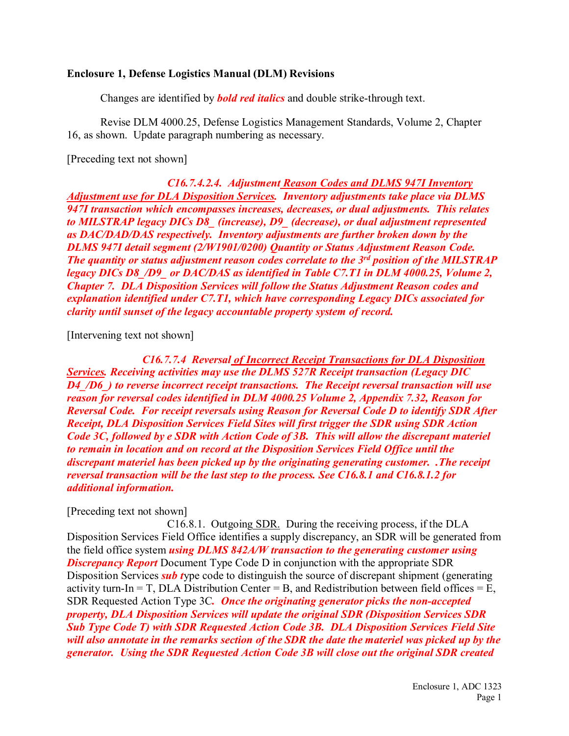#### **Enclosure 1, Defense Logistics Manual (DLM) Revisions**

Changes are identified by *bold red italics* and double strike-through text.

Revise DLM 4000.25, Defense Logistics Management Standards, Volume 2, Chapter 16, as shown. Update paragraph numbering as necessary.

[Preceding text not shown]

*C16.7.4.2.4. Adjustment Reason Codes and DLMS 947I Inventory Adjustment use for DLA Disposition Services. Inventory adjustments take place via DLMS 947I transaction which encompasses increases, decreases, or dual adjustments. This relates to MILSTRAP legacy DICs D8\_ (increase), D9\_ (decrease), or dual adjustment represented as DAC/DAD/DAS respectively. Inventory adjustments are further broken down by the DLMS 947I detail segment (2/W1901/0200) Quantity or Status Adjustment Reason Code. The quantity or status adjustment reason codes correlate to the 3rd position of the MILSTRAP legacy DICs D8\_/D9\_ or DAC/DAS as identified in Table C7.T1 in DLM 4000.25, Volume 2, Chapter 7. DLA Disposition Services will follow the Status Adjustment Reason codes and explanation identified under C7.T1, which have corresponding Legacy DICs associated for clarity until sunset of the legacy accountable property system of record.*

[Intervening text not shown]

*C16.7.7.4 Reversal of Incorrect Receipt Transactions for DLA Disposition Services. Receiving activities may use the DLMS 527R Receipt transaction (Legacy DIC D4\_/D6\_) to reverse incorrect receipt transactions. The Receipt reversal transaction will use reason for reversal codes identified in DLM 4000.25 Volume 2, Appendix 7.32, Reason for Reversal Code. For receipt reversals using Reason for Reversal Code D to identify SDR After Receipt, DLA Disposition Services Field Sites will first trigger the SDR using SDR Action Code 3C, followed by e SDR with Action Code of 3B. This will allow the discrepant materiel to remain in location and on record at the Disposition Services Field Office until the discrepant materiel has been picked up by the originating generating customer. .The receipt reversal transaction will be the last step to the process. See C16.8.1 and C16.8.1.2 for additional information.*

[Preceding text not shown]

C16.8.1. Outgoing SDR. During the receiving process, if the DLA Disposition Services Field Office identifies a supply discrepancy, an SDR will be generated from the field office system *using DLMS 842A/W transaction to the generating customer using Discrepancy Report* Document Type Code D in conjunction with the appropriate SDR Disposition Services *sub t*ype code to distinguish the source of discrepant shipment (generating activity turn-In = T, DLA Distribution Center = B, and Redistribution between field offices = E, SDR Requested Action Type 3C*. Once the originating generator picks the non-accepted property, DLA Disposition Services will update the original SDR (Disposition Services SDR Sub Type Code T) with SDR Requested Action Code 3B. DLA Disposition Services Field Site will also annotate in the remarks section of the SDR the date the materiel was picked up by the generator. Using the SDR Requested Action Code 3B will close out the original SDR created*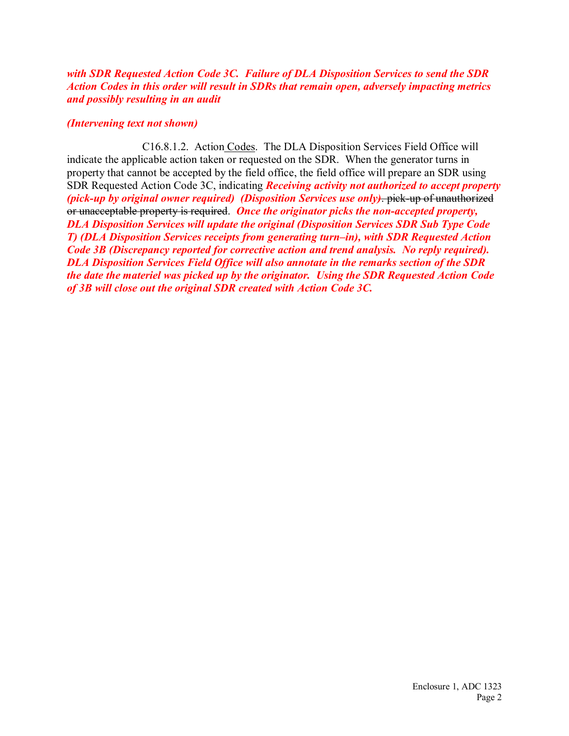*with SDR Requested Action Code 3C. Failure of DLA Disposition Services to send the SDR Action Codes in this order will result in SDRs that remain open, adversely impacting metrics and possibly resulting in an audit* 

#### *(Intervening text not shown)*

C16.8.1.2. Action Codes. The DLA Disposition Services Field Office will indicate the applicable action taken or requested on the SDR. When the generator turns in property that cannot be accepted by the field office, the field office will prepare an SDR using SDR Requested Action Code 3C, indicating *Receiving activity not authorized to accept property (pick-up by original owner required) (Disposition Services use only)*. pick-up of unauthorized or unacceptable property is required. *Once the originator picks the non-accepted property, DLA Disposition Services will update the original (Disposition Services SDR Sub Type Code T) (DLA Disposition Services receipts from generating turn–in), with SDR Requested Action Code 3B (Discrepancy reported for corrective action and trend analysis. No reply required). DLA Disposition Services Field Office will also annotate in the remarks section of the SDR the date the materiel was picked up by the originator. Using the SDR Requested Action Code of 3B will close out the original SDR created with Action Code 3C.*